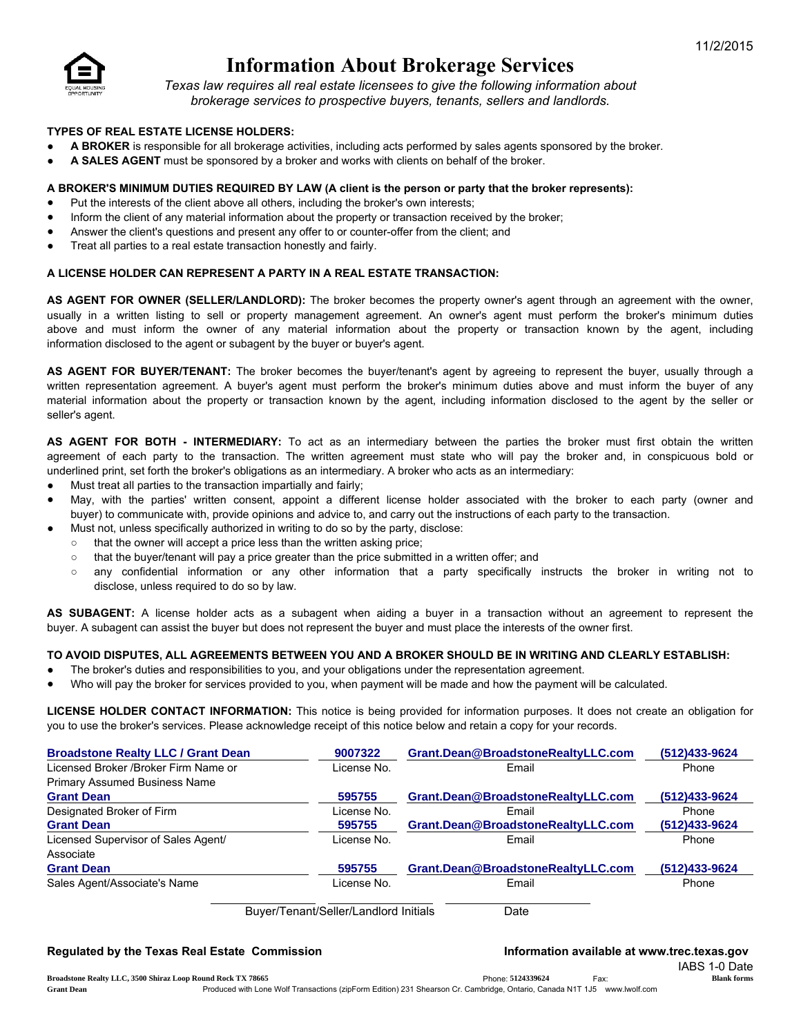

# Information About Brokerage Services

*Texas law requires all real estate licensees to give the following information about brokerage services to prospective buyers, tenants, sellers and landlords.*

## TYPES OF REAL ESTATE LICENSE HOLDERS:

- A BROKER is responsible for all brokerage activities, including acts performed by sales agents sponsored by the broker.
- A SALES AGENT must be sponsored by a broker and works with clients on behalf of the broker.

## A BROKER'S MINIMUM DUTIES REQUIRED BY LAW (A client is the person or party that the broker represents):

- Put the interests of the client above all others, including the broker's own interests;
- Inform the client of any material information about the property or transaction received by the broker;
- Answer the client's questions and present any offer to or counter-offer from the client; and
- Treat all parties to a real estate transaction honestly and fairly.

### A LICENSE HOLDER CAN REPRESENT A PARTY IN A REAL ESTATE TRANSACTION:

AS AGENT FOR OWNER (SELLER/LANDLORD): The broker becomes the property owner's agent through an agreement with the owner, usually in a written listing to sell or property management agreement. An owner's agent must perform the broker's minimum duties above and must inform the owner of any material information about the property or transaction known by the agent, including information disclosed to the agent or subagent by the buyer or buyer's agent.

AS AGENT FOR BUYER/TENANT: The broker becomes the buyer/tenant's agent by agreeing to represent the buyer, usually through a written representation agreement. A buyer's agent must perform the broker's minimum duties above and must inform the buyer of any material information about the property or transaction known by the agent, including information disclosed to the agent by the seller or seller's agent.

AS AGENT FOR BOTH - INTERMEDIARY: To act as an intermediary between the parties the broker must first obtain the written agreement of each party to the transaction. The written agreement must state who will pay the broker and, in conspicuous bold or underlined print, set forth the broker's obligations as an intermediary. A broker who acts as an intermediary:

- Must treat all parties to the transaction impartially and fairly;
- May, with the parties' written consent, appoint a different license holder associated with the broker to each party (owner and buyer) to communicate with, provide opinions and advice to, and carry out the instructions of each party to the transaction.
- Must not, unless specifically authorized in writing to do so by the party, disclose:
	- that the owner will accept a price less than the written asking price;
	- that the buyer/tenant will pay a price greater than the price submitted in a written offer; and
	- any confidential information or any other information that a party specifically instructs the broker in writing not to disclose, unless required to do so by law.

AS SUBAGENT: A license holder acts as a subagent when aiding a buyer in a transaction without an agreement to represent the buyer. A subagent can assist the buyer but does not represent the buyer and must place the interests of the owner first.

### TO AVOID DISPUTES, ALL AGREEMENTS BETWEEN YOU AND A BROKER SHOULD BE IN WRITING AND CLEARLY ESTABLISH:

- The broker's duties and responsibilities to you, and your obligations under the representation agreement.
- Who will pay the broker for services provided to you, when payment will be made and how the payment will be calculated.

LICENSE HOLDER CONTACT INFORMATION: This notice is being provided for information purposes. It does not create an obligation for you to use the broker's services. Please acknowledge receipt of this notice below and retain a copy for your records.

| <b>Broadstone Realty LLC / Grant Dean</b> | 9007322     | Grant.Dean@BroadstoneRealtyLLC.com | (512)433-9624 |
|-------------------------------------------|-------------|------------------------------------|---------------|
| Licensed Broker / Broker Firm Name or     | License No. | Email                              | Phone         |
| Primary Assumed Business Name             |             |                                    |               |
| <b>Grant Dean</b>                         | 595755      | Grant.Dean@BroadstoneRealtyLLC.com | (512)433-9624 |
| Designated Broker of Firm                 | License No. | Email                              | Phone         |
| <b>Grant Dean</b>                         | 595755      | Grant.Dean@BroadstoneRealtyLLC.com | (512)433-9624 |
| Licensed Supervisor of Sales Agent/       | License No. | Email                              | Phone         |
| Associate                                 |             |                                    |               |
| <b>Grant Dean</b>                         | 595755      | Grant.Dean@BroadstoneRealtyLLC.com | (512)433-9624 |
| Sales Agent/Associate's Name              | License No. | Email                              | Phone         |
|                                           |             |                                    |               |

Buyer/Tenant/Seller/Landlord Initials Date

## Regulated by the Texas Real Estate Commission **Information available at www.trec.texas.gov**